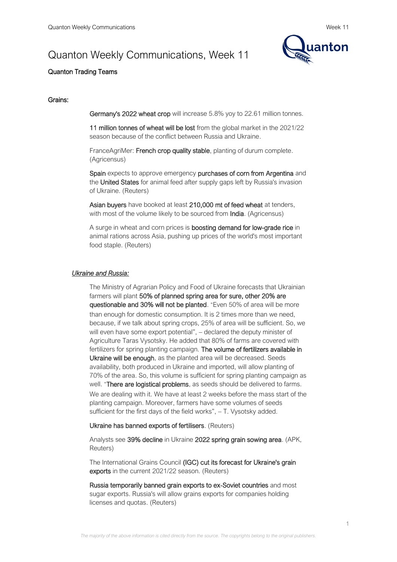# Quanton Weekly Communications, Week 11



# Quanton Trading Teams

## Grains:

Germany's 2022 wheat crop will increase 5.8% yoy to 22.61 million tonnes.

11 million tonnes of wheat will be lost from the global market in the 2021/22 season because of the conflict between Russia and Ukraine.

FranceAgriMer: French crop quality stable, planting of durum complete. (Agricensus)

Spain expects to approve emergency purchases of corn from Argentina and the United States for animal feed after supply gaps left by Russia's invasion of Ukraine. (Reuters)

Asian buyers have booked at least 210,000 mt of feed wheat at tenders, with most of the volume likely to be sourced from **India**. (Agricensus)

A surge in wheat and corn prices is boosting demand for low-grade rice in animal rations across Asia, pushing up prices of the world's most important food staple. (Reuters)

## *Ukraine and Russia:*

The Ministry of Agrarian Policy and Food of Ukraine forecasts that Ukrainian farmers will plant 50% of planned spring area for sure, other 20% are questionable and 30% will not be planted. "Even 50% of area will be more than enough for domestic consumption. It is 2 times more than we need, because, if we talk about spring crops, 25% of area will be sufficient. So, we will even have some export potential", – declared the deputy minister of Agriculture Taras Vysotsky. He added that 80% of farms are covered with fertilizers for spring planting campaign. The volume of fertilizers available in Ukraine will be enough, as the planted area will be decreased. Seeds availability, both produced in Ukraine and imported, will allow planting of 70% of the area. So, this volume is sufficient for spring planting campaign as well. "There are logistical problems, as seeds should be delivered to farms. We are dealing with it. We have at least 2 weeks before the mass start of the planting campaign. Moreover, farmers have some volumes of seeds sufficient for the first days of the field works", – T. Vysotsky added.

## Ukraine has banned exports of fertilisers. (Reuters)

Analysts see 39% decline in Ukraine 2022 spring grain sowing area. (APK, Reuters)

The International Grains Council (IGC) cut its forecast for Ukraine's grain exports in the current 2021/22 season. (Reuters)

Russia temporarily banned grain exports to ex-Soviet countries and most sugar exports. Russia's will allow grains exports for companies holding licenses and quotas. (Reuters)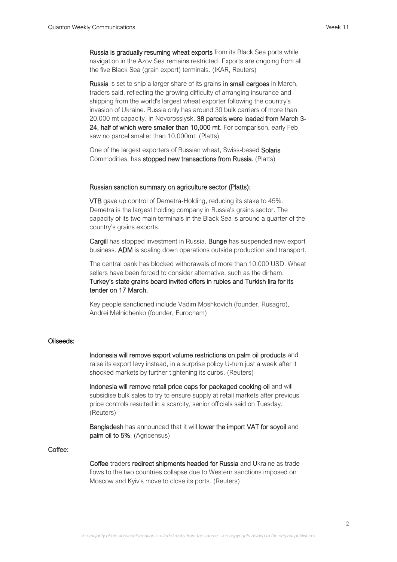Russia is gradually resuming wheat exports from its Black Sea ports while navigation in the Azov Sea remains restricted. Exports are ongoing from all the five Black Sea (grain export) terminals. (IKAR, Reuters)

Russia is set to ship a larger share of its grains in small cargoes in March, traders said, reflecting the growing difficulty of arranging insurance and shipping from the world's largest wheat exporter following the country's invasion of Ukraine. Russia only has around 30 bulk carriers of more than 20,000 mt capacity. In Novorossiysk, 38 parcels were loaded from March 3- 24, half of which were smaller than 10,000 mt. For comparison, early Feb saw no parcel smaller than 10,000mt. (Platts)

One of the largest exporters of Russian wheat, Swiss-based Solaris Commodities, has stopped new transactions from Russia. (Platts)

#### Russian sanction summary on agriculture sector (Platts):

VTB gave up control of Demetra-Holding, reducing its stake to 45%. Demetra is the largest holding company in Russia's grains sector. The capacity of its two main terminals in the Black Sea is around a quarter of the country's grains exports.

Cargill has stopped investment in Russia. Bunge has suspended new export business. ADM is scaling down operations outside production and transport.

The central bank has blocked withdrawals of more than 10,000 USD. Wheat sellers have been forced to consider alternative, such as the dirham. Turkey's state grains board invited offers in rubles and Turkish lira for its tender on 17 March.

Key people sanctioned include Vadim Moshkovich (founder, Rusagro), Andrei Melnichenko (founder, Eurochem)

#### Oilseeds:

Indonesia will remove export volume restrictions on palm oil products and raise its export levy instead, in a surprise policy U-turn just a week after it shocked markets by further tightening its curbs. (Reuters)

Indonesia will remove retail price caps for packaged cooking oil and will subsidise bulk sales to try to ensure supply at retail markets after previous price controls resulted in a scarcity, senior officials said on Tuesday. (Reuters)

Bangladesh has announced that it will lower the import VAT for soyoil and palm oil to 5%. (Agricensus)

# Coffee:

Coffee traders redirect shipments headed for Russia and Ukraine as trade flows to the two countries collapse due to Western sanctions imposed on Moscow and Kyiv's move to close its ports. (Reuters)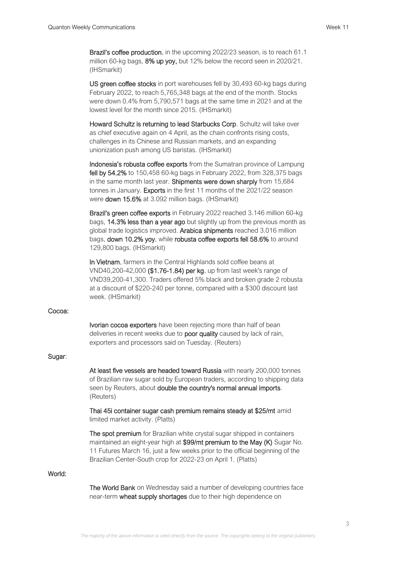Brazil's coffee production, in the upcoming 2022/23 season, is to reach 61.1 million 60-kg bags, 8% up yoy, but 12% below the record seen in 2020/21. (IHSmarkit)

US green coffee stocks in port warehouses fell by 30,493 60-kg bags during February 2022, to reach 5,765,348 bags at the end of the month. Stocks were down 0.4% from 5,790,571 bags at the same time in 2021 and at the lowest level for the month since 2015. (IHSmarkit)

Howard Schultz is returning to lead Starbucks Corp. Schultz will take over as chief executive again on 4 April, as the chain confronts rising costs, challenges in its Chinese and Russian markets, and an expanding unionization push among US baristas. (IHSmarkit)

Indonesia's robusta coffee exports from the Sumatran province of Lampung fell by 54.2% to 150,458 60-kg bags in February 2022, from 328,375 bags in the same month last year. Shipments were down sharply from 15,684 tonnes in January. **Exports** in the first 11 months of the 2021/22 season were down 15.6% at 3.092 million bags. (IHSmarkit)

Brazil's green coffee exports in February 2022 reached 3.146 million 60-kg bags, 14.3% less than a year ago but slightly up from the previous month as global trade logistics improved. Arabica shipments reached 3.016 million bags, down 10.2% yoy, while robusta coffee exports fell 58.6% to around 129,800 bags. (IHSmarkit)

In Vietnam, farmers in the Central Highlands sold coffee beans at VND40,200-42,000 (\$1.76-1.84) per kg, up from last week's range of VND39,200-41,300. Traders offered 5% black and broken grade 2 robusta at a discount of \$220-240 per tonne, compared with a \$300 discount last week. (IHSmarkit)

## Cocoa:

Ivorian cocoa exporters have been rejecting more than half of bean deliveries in recent weeks due to **poor quality** caused by lack of rain, exporters and processors said on Tuesday. (Reuters)

# Sugar:

At least five vessels are headed toward Russia with nearly 200,000 tonnes of Brazilian raw sugar sold by European traders, according to shipping data seen by Reuters, about double the country's normal annual imports. (Reuters)

Thai 45i container sugar cash premium remains steady at \$25/mt amid limited market activity. (Platts)

The spot premium for Brazilian white crystal sugar shipped in containers maintained an eight-year high at \$99/mt premium to the May (K) Sugar No. 11 Futures March 16, just a few weeks prior to the official beginning of the Brazilian Center-South crop for 2022-23 on April 1. (Platts)

#### World:

The World Bank on Wednesday said a number of developing countries face near-term wheat supply shortages due to their high dependence on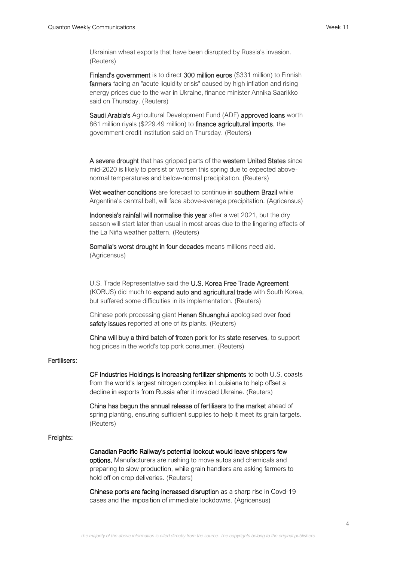Ukrainian wheat exports that have been disrupted by Russia's invasion. (Reuters)

Finland's government is to direct 300 million euros (\$331 million) to Finnish farmers facing an "acute liquidity crisis" caused by high inflation and rising energy prices due to the war in Ukraine, finance minister Annika Saarikko said on Thursday. (Reuters)

Saudi Arabia's Agricultural Development Fund (ADF) approved loans worth 861 million riyals (\$229.49 million) to finance agricultural imports, the government credit institution said on Thursday. (Reuters)

A severe drought that has gripped parts of the western United States since mid-2020 is likely to persist or worsen this spring due to expected abovenormal temperatures and below-normal precipitation. (Reuters)

Wet weather conditions are forecast to continue in southern Brazil while Argentina's central belt, will face above-average precipitation. (Agricensus)

Indonesia's rainfall will normalise this year after a wet 2021, but the dry season will start later than usual in most areas due to the lingering effects of the La Niña weather pattern. (Reuters)

Somalia's worst drought in four decades means millions need aid. (Agricensus)

U.S. Trade Representative said the U.S. Korea Free Trade Agreement (KORUS) did much to expand auto and agricultural trade with South Korea, but suffered some difficulties in its implementation. (Reuters)

Chinese pork processing giant Henan Shuanghui apologised over food safety issues reported at one of its plants. (Reuters)

China will buy a third batch of frozen pork for its state reserves, to support hog prices in the world's top pork consumer. (Reuters)

### Fertilisers:

CF Industries Holdings is increasing fertilizer shipments to both U.S. coasts from the world's largest nitrogen complex in Louisiana to help offset a decline in exports from Russia after it invaded Ukraine. (Reuters)

China has begun the annual release of fertilisers to the market ahead of spring planting, ensuring sufficient supplies to help it meet its grain targets. (Reuters)

## Freights:

Canadian Pacific Railway's potential lockout would leave shippers few options. Manufacturers are rushing to move autos and chemicals and preparing to slow production, while grain handlers are asking farmers to hold off on crop deliveries. (Reuters)

Chinese ports are facing increased disruption as a sharp rise in Covd-19 cases and the imposition of immediate lockdowns. (Agricensus)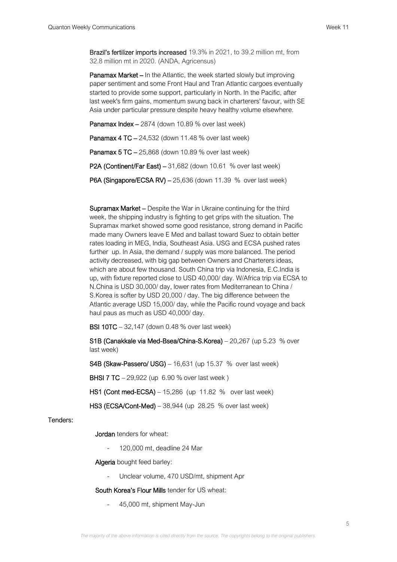Brazil's fertilizer imports increased 19.3% in 2021, to 39.2 million mt, from 32.8 million mt in 2020. (ANDA, Agricensus)

Panamax Market – In the Atlantic, the week started slowly but improving paper sentiment and some Front Haul and Tran Atlantic cargoes eventually started to provide some support, particularly in North. In the Pacific, after last week's firm gains, momentum swung back in charterers' favour, with SE Asia under particular pressure despite heavy healthy volume elsewhere.

Panamax Index – 2874 (down 10.89 % over last week)

Panamax 4 TC – 24,532 (down 11.48 % over last week)

Panamax 5 TC – 25,868 (down 10.89 % over last week)

P2A (Continent/Far East) – 31,682 (down 10.61 % over last week)

P6A (Singapore/ECSA RV) – 25,636 (down 11.39 % over last week)

Supramax Market – Despite the War in Ukraine continuing for the third week, the shipping industry is fighting to get grips with the situation. The Supramax market showed some good resistance, strong demand in Pacific made many Owners leave E Med and ballast toward Suez to obtain better rates loading in MEG, India, Southeast Asia. USG and ECSA pushed rates further up. In Asia, the demand / supply was more balanced. The period activity decreased, with big gap between Owners and Charterers ideas, which are about few thousand. South China trip via Indonesia, E.C.India is up, with fixture reported close to USD 40,000/ day. W/Africa trip via ECSA to N.China is USD 30,000/ day, lower rates from Mediterranean to China / S.Korea is softer by USD 20,000 / day. The big difference between the Atlantic average USD 15,000/ day, while the Pacific round voyage and back haul paus as much as USD 40,000/ day.

BSI 10TC – 32,147 (down 0.48 % over last week)

S1B (Canakkale via Med-Bsea/China-S.Korea) – 20,267 (up 5.23 % over last week)

S4B (Skaw-Passero/ USG) – 16,631 (up 15.37 % over last week)

BHSI 7 TC – 29,922 (up 6.90 % over last week )

HS1 (Cont med-ECSA) – 15,286 (up 11.82 % over last week)

HS3 (ECSA/Cont-Med) – 38,944 (up 28.25 % over last week)

# Tenders:

Jordan tenders for wheat:

- 120,000 mt, deadline 24 Mar

Algeria bought feed barley:

- Unclear volume, 470 USD/mt, shipment Apr

South Korea's Flour Mills tender for US wheat:

- 45,000 mt, shipment May-Jun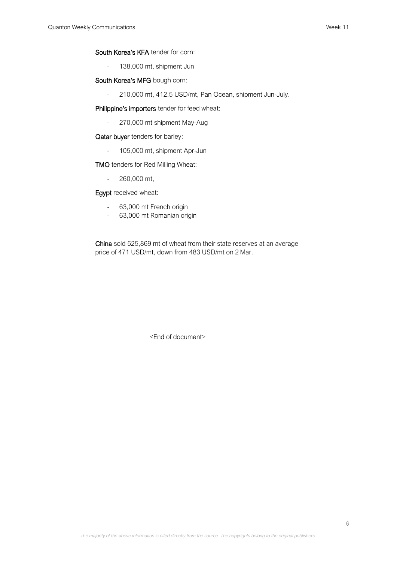# South Korea's KFA tender for corn:

- 138,000 mt, shipment Jun

# South Korea's MFG bough corn:

- 210,000 mt, 412.5 USD/mt, Pan Ocean, shipment Jun-July.

# Philippine's importers tender for feed wheat:

- 270,000 mt shipment May-Aug

# Qatar buyer tenders for barley:

- 105,000 mt, shipment Apr-Jun

TMO tenders for Red Milling Wheat:

- 260,000 mt,

## Egypt received wheat:

- 63,000 mt French origin
- 63,000 mt Romanian origin

China sold 525,869 mt of wheat from their state reserves at an average price of 471 USD/mt, down from 483 USD/mt on 2 Mar.

<End of document>